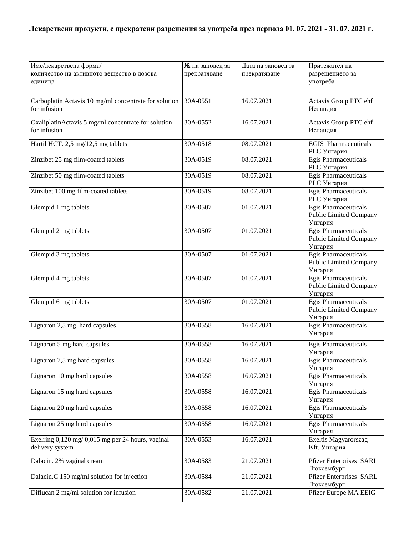| Име/лекарствена форма/                                | № на заповед за | Дата на заповед за | Притежател на                                         |
|-------------------------------------------------------|-----------------|--------------------|-------------------------------------------------------|
| количество на активното вещество в дозова             | прекратяване    | прекратяване       | разрешението за                                       |
| единица                                               |                 |                    | употреба                                              |
|                                                       |                 |                    |                                                       |
| Carboplatin Actavis 10 mg/ml concentrate for solution | 30A-0551        | 16.07.2021         | Actavis Group PTC ehf                                 |
| for infusion                                          |                 |                    | Исландия                                              |
|                                                       |                 |                    |                                                       |
| OxaliplatinActavis 5 mg/ml concentrate for solution   | 30A-0552        | 16.07.2021         | Actavis Group PTC ehf                                 |
| for infusion                                          |                 |                    | Исландия                                              |
|                                                       |                 |                    |                                                       |
| Hartil HCT. 2,5 mg/12,5 mg tablets                    | 30A-0518        | 08.07.2021         | <b>EGIS</b> Pharmaceuticals                           |
|                                                       |                 |                    | PLC Унгария                                           |
| Zinzibet 25 mg film-coated tablets                    | 30A-0519        | 08.07.2021         | <b>Egis Pharmaceuticals</b>                           |
|                                                       |                 |                    | PLC Унгария                                           |
| Zinzibet 50 mg film-coated tablets                    | 30A-0519        | 08.07.2021         | <b>Egis Pharmaceuticals</b>                           |
|                                                       |                 |                    | <b>PLC</b> Унгария                                    |
| Zinzibet 100 mg film-coated tablets                   | 30A-0519        | 08.07.2021         | <b>Egis Pharmaceuticals</b>                           |
|                                                       |                 |                    | PLC Унгария                                           |
| Glempid 1 mg tablets                                  | 30A-0507        | 01.07.2021         | Egis Pharmaceuticals                                  |
|                                                       |                 |                    | <b>Public Limited Company</b>                         |
|                                                       |                 |                    | Унгария                                               |
| Glempid 2 mg tablets                                  | 30A-0507        | 01.07.2021         | <b>Egis Pharmaceuticals</b>                           |
|                                                       |                 |                    | <b>Public Limited Company</b>                         |
|                                                       |                 |                    | Унгария                                               |
| Glempid 3 mg tablets                                  | 30A-0507        | 01.07.2021         | <b>Egis Pharmaceuticals</b>                           |
|                                                       |                 |                    | <b>Public Limited Company</b>                         |
|                                                       |                 | 01.07.2021         | Унгария                                               |
| Glempid 4 mg tablets                                  | 30A-0507        |                    | <b>Egis Pharmaceuticals</b><br>Public Limited Company |
|                                                       |                 |                    | Унгария                                               |
| Glempid 6 mg tablets                                  | 30A-0507        | 01.07.2021         | <b>Egis Pharmaceuticals</b>                           |
|                                                       |                 |                    | <b>Public Limited Company</b>                         |
|                                                       |                 |                    | Унгария                                               |
| Lignaron 2,5 mg hard capsules                         | 30A-0558        | 16.07.2021         | Egis Pharmaceuticals                                  |
|                                                       |                 |                    | Унгария                                               |
|                                                       |                 |                    |                                                       |
| Lignaron 5 mg hard capsules                           | 30A-0558        | 16.07.2021         | Egis Pharmaceuticals                                  |
|                                                       |                 |                    | Унгария                                               |
| Lignaron 7,5 mg hard capsules                         | 30A-0558        | 16.07.2021         | Egis Pharmaceuticals                                  |
|                                                       |                 |                    | Унгария                                               |
| Lignaron 10 mg hard capsules                          | 30A-0558        | 16.07.2021         | Egis Pharmaceuticals                                  |
| Lignaron 15 mg hard capsules                          |                 | 16.07.2021         | Унгария<br><b>Egis Pharmaceuticals</b>                |
|                                                       | 30A-0558        |                    |                                                       |
| Lignaron 20 mg hard capsules                          | 30A-0558        | 16.07.2021         | Унгария<br>Egis Pharmaceuticals                       |
|                                                       |                 |                    | Унгария                                               |
| Lignaron 25 mg hard capsules                          | 30A-0558        | 16.07.2021         | Egis Pharmaceuticals                                  |
|                                                       |                 |                    | Унгария                                               |
| Exelring $0,120$ mg/ $0,015$ mg per 24 hours, vaginal | 30A-0553        | 16.07.2021         | Exeltis Magyarorszag                                  |
| delivery system                                       |                 |                    | Kft. Унгария                                          |
|                                                       |                 |                    |                                                       |
| Dalacin. 2% vaginal cream                             | 30A-0583        | 21.07.2021         | <b>Pfizer Enterprises SARL</b>                        |
|                                                       |                 |                    | Люксембург                                            |
| Dalacin.C 150 mg/ml solution for injection            | 30A-0584        | 21.07.2021         | <b>Pfizer Enterprises SARL</b>                        |
|                                                       |                 |                    | Люксембург                                            |
| Diflucan 2 mg/ml solution for infusion                | 30A-0582        | 21.07.2021         | Pfizer Europe MA EEIG                                 |
|                                                       |                 |                    |                                                       |